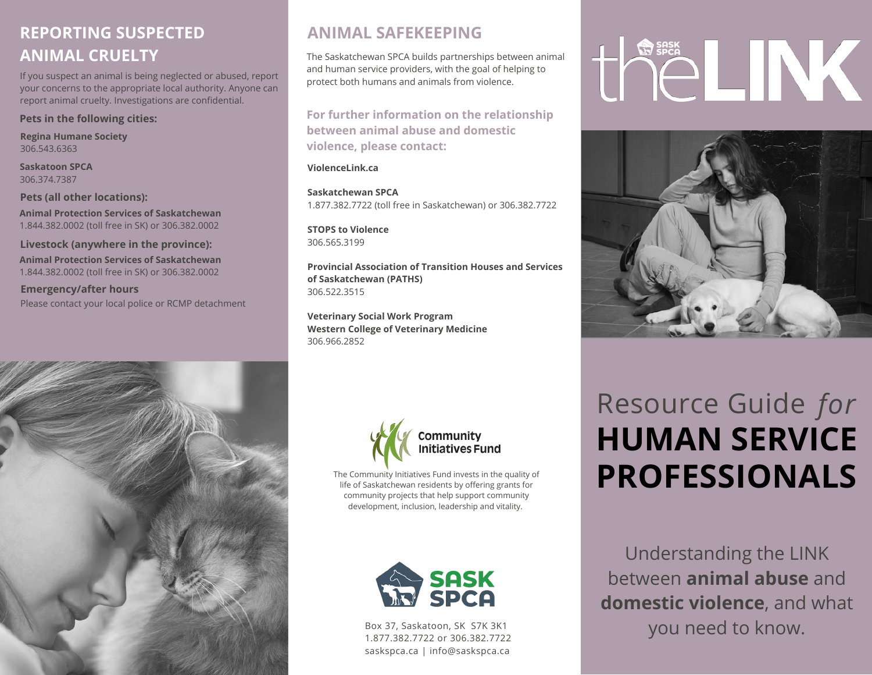#### **REPORTING SUSPECTED ANIMAL CRUELTY**

If you suspect an animal is being neglected or abused, report your concerns to the appropriate local authority. Anyone can report animal cruelty. Investigations are confidential.

#### **Pets in the following cities:**

**Regina Humane Society** 306.543.6363

**Saskatoon SPCA** 306.374.7387

**Pets (all other locations): Animal Protection Services of Saskatchewan** 1.844.382.0002 (toll free in SK) or 306.382.0002

**Livestock (anywhere in the province):**

**Animal Protection Services of Saskatchewan** 1.844.382.0002 (toll free in SK) or 306.382.0002

**Emergency/after hours** Please contact your local police or RCMP detachment



#### **ANIMAL SAFEKEEPING**

The Saskatchewan SPCA builds partnerships between animal and human service providers, with the goal of helping to protect both humans and animals from violence.

**For further information on the relationship between animal abuse and domestic violence, please contact:**

**ViolenceLink.ca**

**Saskatchewan SPCA** 1.877.382.7722 (toll free in Saskatchewan) or 306.382.7722

**STOPS to Violence** 306.565.3199

**Provincial Association of Transition Houses and Services of Saskatchewan (PATHS)** 306.522.3515

**Veterinary Social Work Program Western College of Veterinary Medicine** 306.966.2852



The Community Initiatives Fund invests in the quality of life of Saskatchewan residents by offering grants for community projects that help support community development, inclusion, leadership and vitality.



Box 37, Saskatoon, SK S7K 3K1 1.877.382.7722 or 306.382.7722 saskspca.ca | info@saskspca.ca

# HELINK



## Resource Guide *for* **HUMAN SERVICE PROFESSIONALS**

Understanding the LINK between **animal abuse** and **domestic violence**, and what you need to know.